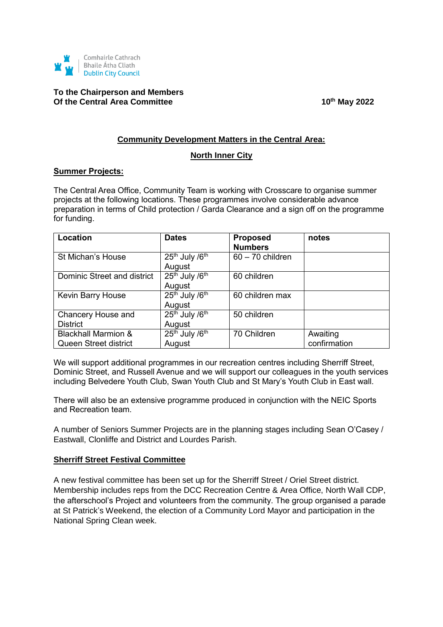

# **To the Chairperson and Members** Of the Central Area Committee 10<sup>th</sup> May 2022

#### **Community Development Matters in the Central Area:**

#### **North Inner City**

#### **Summer Projects:**

The Central Area Office, Community Team is working with Crosscare to organise summer projects at the following locations. These programmes involve considerable advance preparation in terms of Child protection / Garda Clearance and a sign off on the programme for funding.

| Location                       | <b>Dates</b>                           | <b>Proposed</b><br><b>Numbers</b> | notes        |
|--------------------------------|----------------------------------------|-----------------------------------|--------------|
| <b>St Michan's House</b>       | $25th$ July / $6th$                    | $60 - 70$ children                |              |
|                                | August                                 |                                   |              |
| Dominic Street and district    | 25th July /6th                         | 60 children                       |              |
|                                | August                                 |                                   |              |
| Kevin Barry House              | 25 <sup>th</sup> July /6 <sup>th</sup> | 60 children max                   |              |
|                                | August                                 |                                   |              |
| Chancery House and             | 25 <sup>th</sup> July /6 <sup>th</sup> | 50 children                       |              |
| <b>District</b>                | August                                 |                                   |              |
| <b>Blackhall Marmion &amp;</b> | 25 <sup>th</sup> July /6 <sup>th</sup> | 70 Children                       | Awaiting     |
| Queen Street district          | August                                 |                                   | confirmation |

We will support additional programmes in our recreation centres including Sherriff Street, Dominic Street, and Russell Avenue and we will support our colleagues in the youth services including Belvedere Youth Club, Swan Youth Club and St Mary's Youth Club in East wall.

There will also be an extensive programme produced in conjunction with the NEIC Sports and Recreation team.

A number of Seniors Summer Projects are in the planning stages including Sean O'Casey / Eastwall, Clonliffe and District and Lourdes Parish.

### **Sherriff Street Festival Committee**

A new festival committee has been set up for the Sherriff Street / Oriel Street district. Membership includes reps from the DCC Recreation Centre & Area Office, North Wall CDP, the afterschool's Project and volunteers from the community. The group organised a parade at St Patrick's Weekend, the election of a Community Lord Mayor and participation in the National Spring Clean week.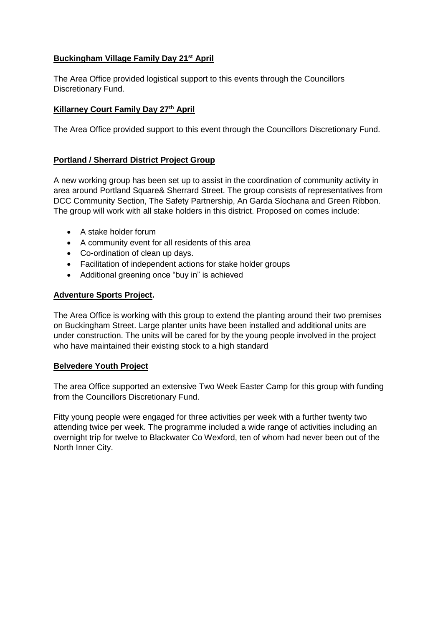# **Buckingham Village Family Day 21st April**

The Area Office provided logistical support to this events through the Councillors Discretionary Fund.

## **Killarney Court Family Day 27th April**

The Area Office provided support to this event through the Councillors Discretionary Fund.

# **Portland / Sherrard District Project Group**

A new working group has been set up to assist in the coordination of community activity in area around Portland Square& Sherrard Street. The group consists of representatives from DCC Community Section, The Safety Partnership, An Garda Síochana and Green Ribbon. The group will work with all stake holders in this district. Proposed on comes include:

- A stake holder forum
- A community event for all residents of this area
- Co-ordination of clean up days.
- Facilitation of independent actions for stake holder groups
- Additional greening once "buy in" is achieved

### **Adventure Sports Project.**

The Area Office is working with this group to extend the planting around their two premises on Buckingham Street. Large planter units have been installed and additional units are under construction. The units will be cared for by the young people involved in the project who have maintained their existing stock to a high standard

### **Belvedere Youth Project**

The area Office supported an extensive Two Week Easter Camp for this group with funding from the Councillors Discretionary Fund.

Fitty young people were engaged for three activities per week with a further twenty two attending twice per week. The programme included a wide range of activities including an overnight trip for twelve to Blackwater Co Wexford, ten of whom had never been out of the North Inner City.